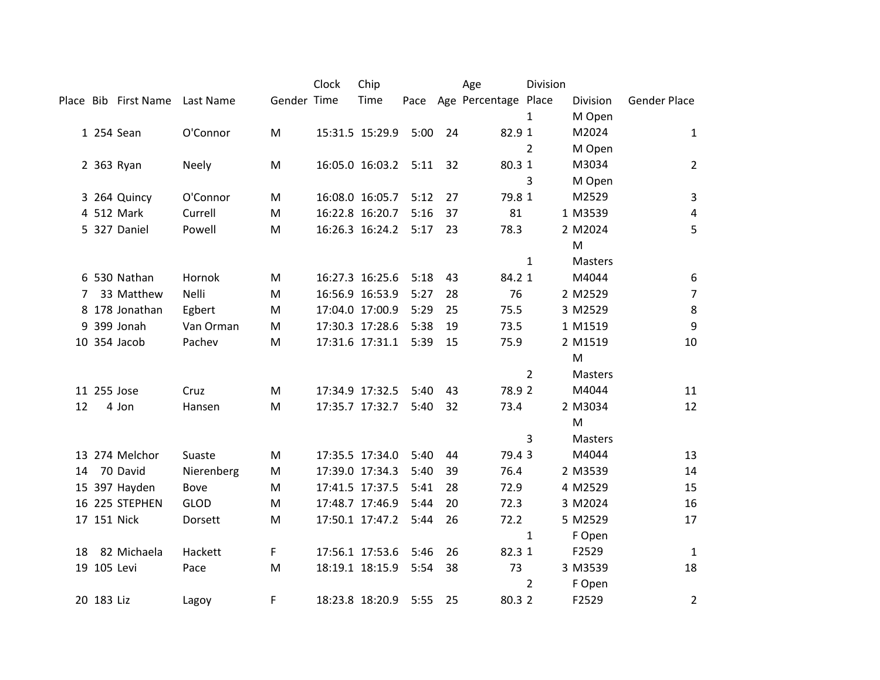|    |             |                      |              |             | Clock | Chip            |      |    | Age                       | Division       |          |                     |
|----|-------------|----------------------|--------------|-------------|-------|-----------------|------|----|---------------------------|----------------|----------|---------------------|
|    |             | Place Bib First Name | Last Name    | Gender Time |       | Time            |      |    | Pace Age Percentage Place |                | Division | <b>Gender Place</b> |
|    |             |                      |              |             |       |                 |      |    |                           | 1              | M Open   |                     |
|    |             | 1 254 Sean           | O'Connor     | M           |       | 15:31.5 15:29.9 | 5:00 | 24 | 82.9 1                    |                | M2024    | $\mathbf{1}$        |
|    |             |                      |              |             |       |                 |      |    |                           | $\overline{2}$ | M Open   |                     |
|    |             | 2 363 Ryan           | <b>Neely</b> | M           |       | 16:05.0 16:03.2 | 5:11 | 32 | 80.3 1                    |                | M3034    | $\overline{2}$      |
|    |             |                      |              |             |       |                 |      |    |                           | 3              | M Open   |                     |
|    |             | 3 264 Quincy         | O'Connor     | M           |       | 16:08.0 16:05.7 | 5:12 | 27 | 79.8 1                    |                | M2529    | $\mathsf{3}$        |
|    |             | 4 512 Mark           | Currell      | M           |       | 16:22.8 16:20.7 | 5:16 | 37 | 81                        |                | 1 M3539  | $\sqrt{4}$          |
|    |             | 5 327 Daniel         | Powell       | M           |       | 16:26.3 16:24.2 | 5:17 | 23 | 78.3                      |                | 2 M2024  | 5                   |
|    |             |                      |              |             |       |                 |      |    |                           |                | M        |                     |
|    |             |                      |              |             |       |                 |      |    |                           | $\mathbf{1}$   | Masters  |                     |
|    |             | 6 530 Nathan         | Hornok       | M           |       | 16:27.3 16:25.6 | 5:18 | 43 | 84.2 1                    |                | M4044    | $\boldsymbol{6}$    |
| 7  |             | 33 Matthew           | Nelli        | M           |       | 16:56.9 16:53.9 | 5:27 | 28 | 76                        |                | 2 M2529  | $\overline{7}$      |
|    |             | 8 178 Jonathan       | Egbert       | M           |       | 17:04.0 17:00.9 | 5:29 | 25 | 75.5                      |                | 3 M2529  | $\,8$               |
|    |             | 9 399 Jonah          | Van Orman    | M           |       | 17:30.3 17:28.6 | 5:38 | 19 | 73.5                      |                | 1 M1519  | $\boldsymbol{9}$    |
|    |             | 10 354 Jacob         | Pachev       | M           |       | 17:31.6 17:31.1 | 5:39 | 15 | 75.9                      |                | 2 M1519  | 10                  |
|    |             |                      |              |             |       |                 |      |    |                           |                | M        |                     |
|    |             |                      |              |             |       |                 |      |    |                           | $\overline{2}$ | Masters  |                     |
|    |             | 11 255 Jose          | Cruz         | M           |       | 17:34.9 17:32.5 | 5:40 | 43 | 78.9 2                    |                | M4044    | 11                  |
| 12 |             | 4 Jon                | Hansen       | M           |       | 17:35.7 17:32.7 | 5:40 | 32 | 73.4                      |                | 2 M3034  | 12                  |
|    |             |                      |              |             |       |                 |      |    |                           |                | M        |                     |
|    |             |                      |              |             |       |                 |      |    |                           | 3              | Masters  |                     |
|    |             | 13 274 Melchor       | Suaste       | M           |       | 17:35.5 17:34.0 | 5:40 | 44 | 79.43                     |                | M4044    | 13                  |
| 14 |             | 70 David             | Nierenberg   | M           |       | 17:39.0 17:34.3 | 5:40 | 39 | 76.4                      |                | 2 M3539  | 14                  |
|    |             | 15 397 Hayden        | Bove         | M           |       | 17:41.5 17:37.5 | 5:41 | 28 | 72.9                      |                | 4 M2529  | 15                  |
|    |             | 16 225 STEPHEN       | <b>GLOD</b>  | M           |       | 17:48.7 17:46.9 | 5:44 | 20 | 72.3                      |                | 3 M2024  | 16                  |
|    |             | 17 151 Nick          | Dorsett      | M           |       | 17:50.1 17:47.2 | 5:44 | 26 | 72.2                      |                | 5 M2529  | 17                  |
|    |             |                      |              |             |       |                 |      |    |                           | $\mathbf{1}$   | F Open   |                     |
| 18 |             | 82 Michaela          | Hackett      | F           |       | 17:56.1 17:53.6 | 5:46 | 26 | 82.3 1                    |                | F2529    | $\mathbf{1}$        |
|    | 19 105 Levi |                      | Pace         | M           |       | 18:19.1 18:15.9 | 5:54 | 38 | 73                        |                | 3 M3539  | 18                  |
|    |             |                      |              |             |       |                 |      |    |                           | $\overline{2}$ | F Open   |                     |
|    | 20 183 Liz  |                      | Lagoy        | F.          |       | 18:23.8 18:20.9 | 5:55 | 25 | 80.3 2                    |                | F2529    | $\overline{2}$      |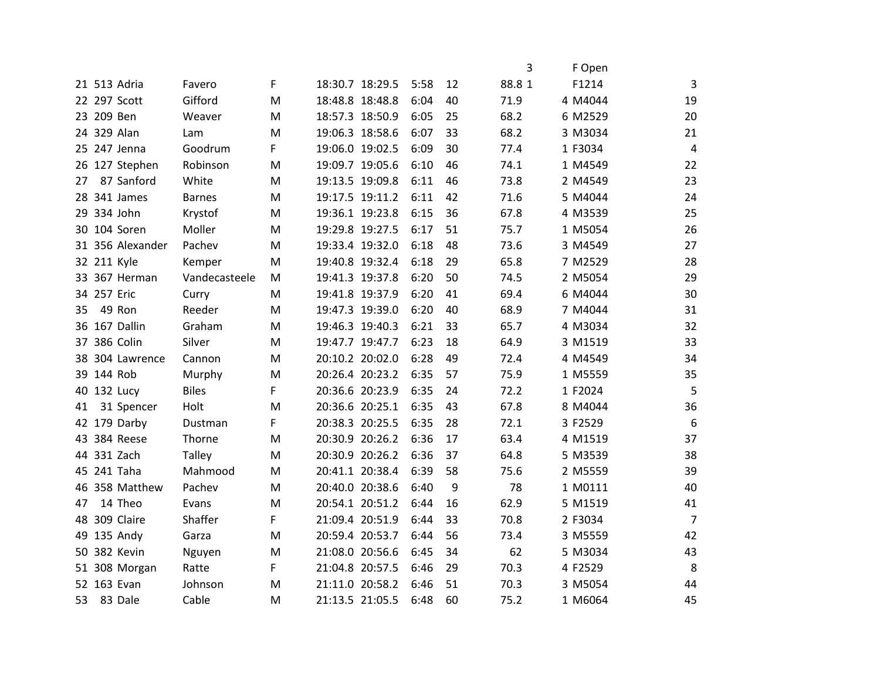|    |             |                  |               |   |                 |                 |      |    | 3      | F Open  |                |
|----|-------------|------------------|---------------|---|-----------------|-----------------|------|----|--------|---------|----------------|
|    |             | 21 513 Adria     | Favero        | F |                 | 18:30.7 18:29.5 | 5:58 | 12 | 88.8 1 | F1214   | 3              |
|    |             | 22 297 Scott     | Gifford       | M |                 | 18:48.8 18:48.8 | 6:04 | 40 | 71.9   | 4 M4044 | 19             |
|    | 23 209 Ben  |                  | Weaver        | M |                 | 18:57.3 18:50.9 | 6:05 | 25 | 68.2   | 6 M2529 | 20             |
|    |             | 24 329 Alan      | Lam           | M |                 | 19:06.3 18:58.6 | 6:07 | 33 | 68.2   | 3 M3034 | 21             |
|    |             | 25 247 Jenna     | Goodrum       | F |                 | 19:06.0 19:02.5 | 6:09 | 30 | 77.4   | 1 F3034 | $\overline{4}$ |
|    |             | 26 127 Stephen   | Robinson      | M |                 | 19:09.7 19:05.6 | 6:10 | 46 | 74.1   | 1 M4549 | 22             |
| 27 |             | 87 Sanford       | White         | M |                 | 19:13.5 19:09.8 | 6:11 | 46 | 73.8   | 2 M4549 | 23             |
|    |             | 28 341 James     | <b>Barnes</b> | M |                 | 19:17.5 19:11.2 | 6:11 | 42 | 71.6   | 5 M4044 | 24             |
|    |             | 29 334 John      | Krystof       | M |                 | 19:36.1 19:23.8 | 6:15 | 36 | 67.8   | 4 M3539 | 25             |
|    |             | 30 104 Soren     | Moller        | M |                 | 19:29.8 19:27.5 | 6:17 | 51 | 75.7   | 1 M5054 | 26             |
|    |             | 31 356 Alexander | Pachev        | M |                 | 19:33.4 19:32.0 | 6:18 | 48 | 73.6   | 3 M4549 | 27             |
|    |             | 32 211 Kyle      | Kemper        | M |                 | 19:40.8 19:32.4 | 6:18 | 29 | 65.8   | 7 M2529 | 28             |
|    |             | 33 367 Herman    | Vandecasteele | M |                 | 19:41.3 19:37.8 | 6:20 | 50 | 74.5   | 2 M5054 | 29             |
|    | 34 257 Eric |                  | Curry         | M |                 | 19:41.8 19:37.9 | 6:20 | 41 | 69.4   | 6 M4044 | 30             |
| 35 |             | 49 Ron           | Reeder        | M |                 | 19:47.3 19:39.0 | 6:20 | 40 | 68.9   | 7 M4044 | 31             |
|    |             | 36 167 Dallin    | Graham        | M | 19:46.3 19:40.3 |                 | 6:21 | 33 | 65.7   | 4 M3034 | 32             |
|    |             | 37 386 Colin     | Silver        | M |                 | 19:47.7 19:47.7 | 6:23 | 18 | 64.9   | 3 M1519 | 33             |
|    |             | 38 304 Lawrence  | Cannon        | M |                 | 20:10.2 20:02.0 | 6:28 | 49 | 72.4   | 4 M4549 | 34             |
|    | 39 144 Rob  |                  | Murphy        | M | 20:26.4 20:23.2 |                 | 6:35 | 57 | 75.9   | 1 M5559 | 35             |
|    |             | 40 132 Lucy      | <b>Biles</b>  | F |                 | 20:36.6 20:23.9 | 6:35 | 24 | 72.2   | 1 F2024 | 5              |
| 41 |             | 31 Spencer       | Holt          | M |                 | 20:36.6 20:25.1 | 6:35 | 43 | 67.8   | 8 M4044 | 36             |
|    |             | 42 179 Darby     | Dustman       | F |                 | 20:38.3 20:25.5 | 6:35 | 28 | 72.1   | 3 F2529 | 6              |
|    |             | 43 384 Reese     | Thorne        | M | 20:30.9 20:26.2 |                 | 6:36 | 17 | 63.4   | 4 M1519 | 37             |
|    |             | 44 331 Zach      | Talley        | M | 20:30.9 20:26.2 |                 | 6:36 | 37 | 64.8   | 5 M3539 | 38             |
|    |             | 45 241 Taha      | Mahmood       | M |                 | 20:41.1 20:38.4 | 6:39 | 58 | 75.6   | 2 M5559 | 39             |
|    |             | 46 358 Matthew   | Pachev        | M |                 | 20:40.0 20:38.6 | 6:40 | 9  | 78     | 1 M0111 | 40             |
| 47 |             | 14 Theo          | Evans         | M |                 | 20:54.1 20:51.2 | 6:44 | 16 | 62.9   | 5 M1519 | 41             |
|    |             | 48 309 Claire    | Shaffer       | F | 21:09.4 20:51.9 |                 | 6:44 | 33 | 70.8   | 2 F3034 | $\overline{7}$ |
|    |             | 49 135 Andy      | Garza         | M |                 | 20:59.4 20:53.7 | 6:44 | 56 | 73.4   | 3 M5559 | 42             |
|    |             | 50 382 Kevin     | Nguyen        | M |                 | 21:08.0 20:56.6 | 6:45 | 34 | 62     | 5 M3034 | 43             |
|    |             | 51 308 Morgan    | Ratte         | F |                 | 21:04.8 20:57.5 | 6:46 | 29 | 70.3   | 4 F2529 | 8              |
|    |             | 52 163 Evan      | Johnson       | M | 21:11.0 20:58.2 |                 | 6:46 | 51 | 70.3   | 3 M5054 | 44             |
| 53 |             | 83 Dale          | Cable         | M |                 | 21:13.5 21:05.5 | 6:48 | 60 | 75.2   | 1 M6064 | 45             |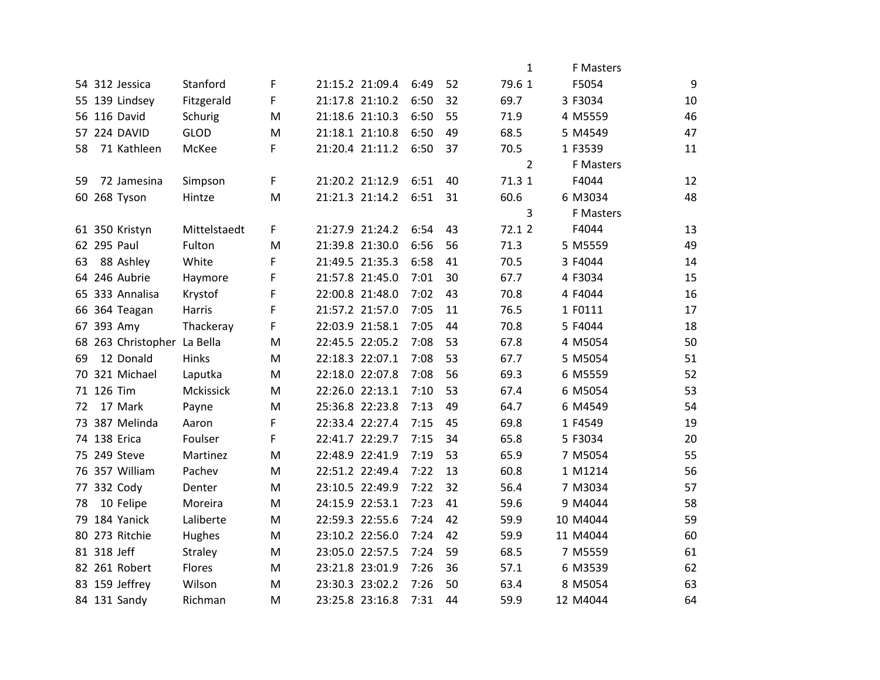|    |             |                             |                  |   |                 |      |    | $\mathbf{1}$   | F Masters        |    |
|----|-------------|-----------------------------|------------------|---|-----------------|------|----|----------------|------------------|----|
|    |             | 54 312 Jessica              | Stanford         | F | 21:15.2 21:09.4 | 6:49 | 52 | 79.6 1         | F5054            | 9  |
|    |             | 55 139 Lindsey              | Fitzgerald       | F | 21:17.8 21:10.2 | 6:50 | 32 | 69.7           | 3 F3034          | 10 |
|    |             | 56 116 David                | Schurig          | M | 21:18.6 21:10.3 | 6:50 | 55 | 71.9           | 4 M5559          | 46 |
|    |             | 57 224 DAVID                | <b>GLOD</b>      | M | 21:18.1 21:10.8 | 6:50 | 49 | 68.5           | 5 M4549          | 47 |
| 58 |             | 71 Kathleen                 | McKee            | F | 21:20.4 21:11.2 | 6:50 | 37 | 70.5           | 1 F3539          | 11 |
|    |             |                             |                  |   |                 |      |    | $\overline{2}$ | <b>F</b> Masters |    |
| 59 |             | 72 Jamesina                 | Simpson          | F | 21:20.2 21:12.9 | 6:51 | 40 | 71.3 1         | F4044            | 12 |
|    |             | 60 268 Tyson                | Hintze           | M | 21:21.3 21:14.2 | 6:51 | 31 | 60.6           | 6 M3034          | 48 |
|    |             |                             |                  |   |                 |      |    | 3              | F Masters        |    |
|    |             | 61 350 Kristyn              | Mittelstaedt     | F | 21:27.9 21:24.2 | 6:54 | 43 | 72.1 2         | F4044            | 13 |
|    |             | 62 295 Paul                 | Fulton           | M | 21:39.8 21:30.0 | 6:56 | 56 | 71.3           | 5 M5559          | 49 |
| 63 |             | 88 Ashley                   | White            | F | 21:49.5 21:35.3 | 6:58 | 41 | 70.5           | 3 F4044          | 14 |
|    |             | 64 246 Aubrie               | Haymore          | F | 21:57.8 21:45.0 | 7:01 | 30 | 67.7           | 4 F3034          | 15 |
|    |             | 65 333 Annalisa             | Krystof          | F | 22:00.8 21:48.0 | 7:02 | 43 | 70.8           | 4 F4044          | 16 |
|    |             | 66 364 Teagan               | Harris           | F | 21:57.2 21:57.0 | 7:05 | 11 | 76.5           | 1 F0111          | 17 |
|    |             | 67 393 Amy                  | Thackeray        | F | 22:03.9 21:58.1 | 7:05 | 44 | 70.8           | 5 F4044          | 18 |
|    |             | 68 263 Christopher La Bella |                  | M | 22:45.5 22:05.2 | 7:08 | 53 | 67.8           | 4 M5054          | 50 |
| 69 |             | 12 Donald                   | Hinks            | M | 22:18.3 22:07.1 | 7:08 | 53 | 67.7           | 5 M5054          | 51 |
|    |             | 70 321 Michael              | Laputka          | M | 22:18.0 22:07.8 | 7:08 | 56 | 69.3           | 6 M5559          | 52 |
|    | 71 126 Tim  |                             | <b>Mckissick</b> | M | 22:26.0 22:13.1 | 7:10 | 53 | 67.4           | 6 M5054          | 53 |
| 72 |             | 17 Mark                     | Payne            | M | 25:36.8 22:23.8 | 7:13 | 49 | 64.7           | 6 M4549          | 54 |
|    |             | 73 387 Melinda              | Aaron            | F | 22:33.4 22:27.4 | 7:15 | 45 | 69.8           | 1 F4549          | 19 |
|    |             | 74 138 Erica                | Foulser          | F | 22:41.7 22:29.7 | 7:15 | 34 | 65.8           | 5 F3034          | 20 |
|    |             | 75 249 Steve                | Martinez         | M | 22:48.9 22:41.9 | 7:19 | 53 | 65.9           | 7 M5054          | 55 |
|    |             | 76 357 William              | Pachev           | M | 22:51.2 22:49.4 | 7:22 | 13 | 60.8           | 1 M1214          | 56 |
|    |             | 77 332 Cody                 | Denter           | M | 23:10.5 22:49.9 | 7:22 | 32 | 56.4           | 7 M3034          | 57 |
| 78 |             | 10 Felipe                   | Moreira          | M | 24:15.9 22:53.1 | 7:23 | 41 | 59.6           | 9 M4044          | 58 |
|    |             | 79 184 Yanick               | Laliberte        | M | 22:59.3 22:55.6 | 7:24 | 42 | 59.9           | 10 M4044         | 59 |
|    |             | 80 273 Ritchie              | Hughes           | M | 23:10.2 22:56.0 | 7:24 | 42 | 59.9           | 11 M4044         | 60 |
|    | 81 318 Jeff |                             | Straley          | M | 23:05.0 22:57.5 | 7:24 | 59 | 68.5           | 7 M5559          | 61 |
|    |             | 82 261 Robert               | Flores           | M | 23:21.8 23:01.9 | 7:26 | 36 | 57.1           | 6 M3539          | 62 |
|    |             | 83 159 Jeffrey              | Wilson           | M | 23:30.3 23:02.2 | 7:26 | 50 | 63.4           | 8 M5054          | 63 |
|    |             | 84 131 Sandy                | Richman          | M | 23:25.8 23:16.8 | 7:31 | 44 | 59.9           | 12 M4044         | 64 |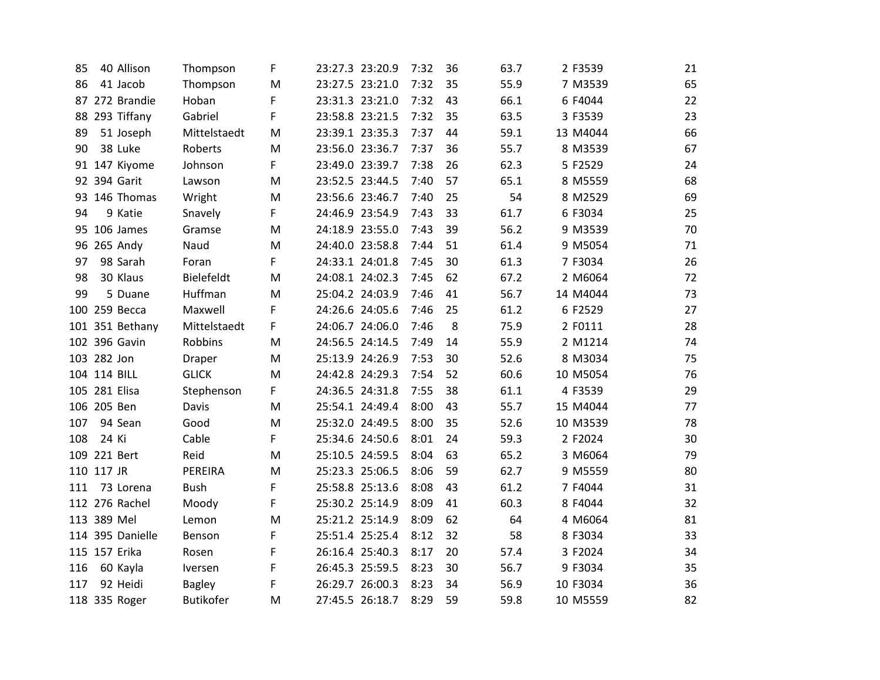| 85  |             | 40 Allison       | Thompson         | F | 23:27.3 23:20.9 |                 | 7:32 | 36 | 63.7 | 2 F3539  | 21 |
|-----|-------------|------------------|------------------|---|-----------------|-----------------|------|----|------|----------|----|
| 86  |             | 41 Jacob         | Thompson         | M | 23:27.5 23:21.0 |                 | 7:32 | 35 | 55.9 | 7 M3539  | 65 |
|     |             | 87 272 Brandie   | Hoban            | F | 23:31.3 23:21.0 |                 | 7:32 | 43 | 66.1 | 6 F4044  | 22 |
|     |             | 88 293 Tiffany   | Gabriel          | F | 23:58.8 23:21.5 |                 | 7:32 | 35 | 63.5 | 3 F3539  | 23 |
| 89  |             | 51 Joseph        | Mittelstaedt     | M | 23:39.1 23:35.3 |                 | 7:37 | 44 | 59.1 | 13 M4044 | 66 |
| 90  |             | 38 Luke          | Roberts          | M | 23:56.0 23:36.7 |                 | 7:37 | 36 | 55.7 | 8 M3539  | 67 |
|     |             | 91 147 Kiyome    | Johnson          | F | 23:49.0 23:39.7 |                 | 7:38 | 26 | 62.3 | 5 F2529  | 24 |
|     |             | 92 394 Garit     | Lawson           | M | 23:52.5 23:44.5 |                 | 7:40 | 57 | 65.1 | 8 M5559  | 68 |
|     |             | 93 146 Thomas    | Wright           | M | 23:56.6 23:46.7 |                 | 7:40 | 25 | 54   | 8 M2529  | 69 |
| 94  |             | 9 Katie          | Snavely          | F | 24:46.9 23:54.9 |                 | 7:43 | 33 | 61.7 | 6 F3034  | 25 |
|     |             | 95 106 James     | Gramse           | M |                 | 24:18.9 23:55.0 | 7:43 | 39 | 56.2 | 9 M3539  | 70 |
|     |             | 96 265 Andy      | Naud             | M | 24:40.0 23:58.8 |                 | 7:44 | 51 | 61.4 | 9 M5054  | 71 |
| 97  |             | 98 Sarah         | Foran            | F | 24:33.1 24:01.8 |                 | 7:45 | 30 | 61.3 | 7 F3034  | 26 |
| 98  |             | 30 Klaus         | Bielefeldt       | M | 24:08.1 24:02.3 |                 | 7:45 | 62 | 67.2 | 2 M6064  | 72 |
| 99  |             | 5 Duane          | Huffman          | M | 25:04.2 24:03.9 |                 | 7:46 | 41 | 56.7 | 14 M4044 | 73 |
|     |             | 100 259 Becca    | Maxwell          | F | 24:26.6 24:05.6 |                 | 7:46 | 25 | 61.2 | 6F2529   | 27 |
|     |             | 101 351 Bethany  | Mittelstaedt     | F | 24:06.7 24:06.0 |                 | 7:46 | 8  | 75.9 | 2 F0111  | 28 |
|     |             | 102 396 Gavin    | Robbins          | M | 24:56.5 24:14.5 |                 | 7:49 | 14 | 55.9 | 2 M1214  | 74 |
|     | 103 282 Jon |                  | Draper           | M | 25:13.9 24:26.9 |                 | 7:53 | 30 | 52.6 | 8 M3034  | 75 |
|     |             | 104 114 BILL     | <b>GLICK</b>     | M | 24:42.8 24:29.3 |                 | 7:54 | 52 | 60.6 | 10 M5054 | 76 |
|     |             | 105 281 Elisa    | Stephenson       | F | 24:36.5 24:31.8 |                 | 7:55 | 38 | 61.1 | 4 F3539  | 29 |
|     | 106 205 Ben |                  | Davis            | M |                 | 25:54.1 24:49.4 | 8:00 | 43 | 55.7 | 15 M4044 | 77 |
| 107 |             | 94 Sean          | Good             | M | 25:32.0 24:49.5 |                 | 8:00 | 35 | 52.6 | 10 M3539 | 78 |
| 108 | 24 Ki       |                  | Cable            | F | 25:34.6 24:50.6 |                 | 8:01 | 24 | 59.3 | 2 F2024  | 30 |
|     |             | 109 221 Bert     | Reid             | M | 25:10.5 24:59.5 |                 | 8:04 | 63 | 65.2 | 3 M6064  | 79 |
|     | 110 117 JR  |                  | PEREIRA          | M | 25:23.3 25:06.5 |                 | 8:06 | 59 | 62.7 | 9 M5559  | 80 |
| 111 |             | 73 Lorena        | <b>Bush</b>      | F | 25:58.8 25:13.6 |                 | 8:08 | 43 | 61.2 | 7 F4044  | 31 |
|     |             | 112 276 Rachel   | Moody            | F | 25:30.2 25:14.9 |                 | 8:09 | 41 | 60.3 | 8 F4044  | 32 |
|     | 113 389 Mel |                  | Lemon            | M | 25:21.2 25:14.9 |                 | 8:09 | 62 | 64   | 4 M6064  | 81 |
|     |             | 114 395 Danielle | Benson           | F | 25:51.4 25:25.4 |                 | 8:12 | 32 | 58   | 8 F3034  | 33 |
|     |             | 115 157 Erika    | Rosen            | F | 26:16.4 25:40.3 |                 | 8:17 | 20 | 57.4 | 3 F2024  | 34 |
| 116 |             | 60 Kayla         | Iversen          | F | 26:45.3 25:59.5 |                 | 8:23 | 30 | 56.7 | 9 F3034  | 35 |
| 117 |             | 92 Heidi         | <b>Bagley</b>    | F | 26:29.7 26:00.3 |                 | 8:23 | 34 | 56.9 | 10 F3034 | 36 |
|     |             | 118 335 Roger    | <b>Butikofer</b> | M |                 | 27:45.5 26:18.7 | 8:29 | 59 | 59.8 | 10 M5559 | 82 |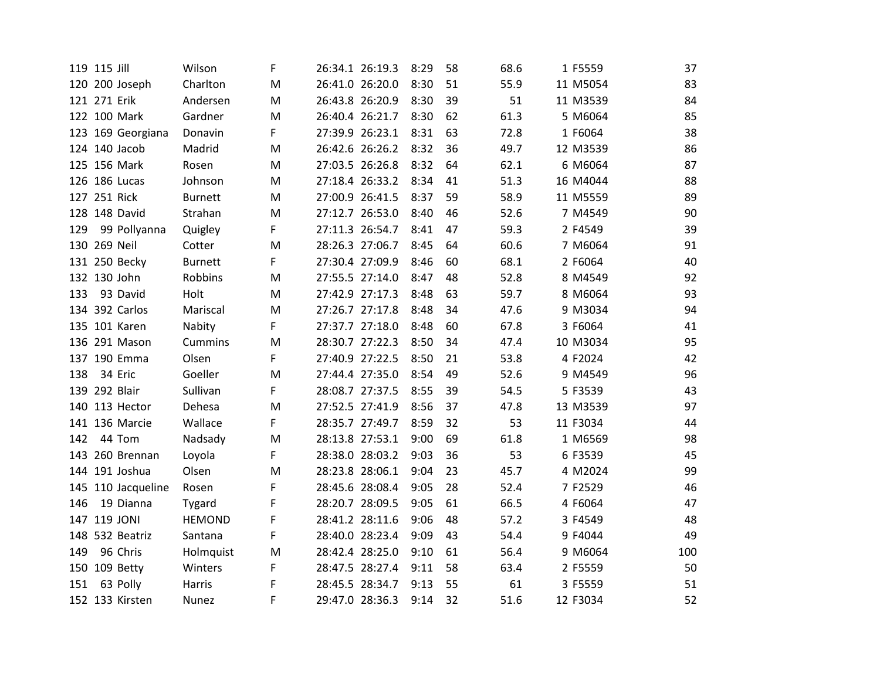|     | 119 115 Jill       | Wilson         | F |                 | 26:34.1 26:19.3 | 8:29 | 58 | 68.6 | 1 F5559  | 37  |
|-----|--------------------|----------------|---|-----------------|-----------------|------|----|------|----------|-----|
|     | 120 200 Joseph     | Charlton       | M |                 | 26:41.0 26:20.0 | 8:30 | 51 | 55.9 | 11 M5054 | 83  |
|     | 121 271 Erik       | Andersen       | M |                 | 26:43.8 26:20.9 | 8:30 | 39 | 51   | 11 M3539 | 84  |
|     | 122 100 Mark       | Gardner        | M |                 | 26:40.4 26:21.7 | 8:30 | 62 | 61.3 | 5 M6064  | 85  |
|     | 123 169 Georgiana  | Donavin        | F |                 | 27:39.9 26:23.1 | 8:31 | 63 | 72.8 | 1 F6064  | 38  |
|     | 124 140 Jacob      | Madrid         | M |                 | 26:42.6 26:26.2 | 8:32 | 36 | 49.7 | 12 M3539 | 86  |
|     | 125 156 Mark       | Rosen          | M |                 | 27:03.5 26:26.8 | 8:32 | 64 | 62.1 | 6 M6064  | 87  |
|     | 126 186 Lucas      | Johnson        | M |                 | 27:18.4 26:33.2 | 8:34 | 41 | 51.3 | 16 M4044 | 88  |
|     | 127 251 Rick       | <b>Burnett</b> | M |                 | 27:00.9 26:41.5 | 8:37 | 59 | 58.9 | 11 M5559 | 89  |
|     | 128 148 David      | Strahan        | M |                 | 27:12.7 26:53.0 | 8:40 | 46 | 52.6 | 7 M4549  | 90  |
| 129 | 99 Pollyanna       | Quigley        | F |                 | 27:11.3 26:54.7 | 8:41 | 47 | 59.3 | 2 F4549  | 39  |
|     | 130 269 Neil       | Cotter         | M |                 | 28:26.3 27:06.7 | 8:45 | 64 | 60.6 | 7 M6064  | 91  |
|     | 131 250 Becky      | <b>Burnett</b> | F | 27:30.4 27:09.9 |                 | 8:46 | 60 | 68.1 | 2 F6064  | 40  |
|     | 132 130 John       | Robbins        | M |                 | 27:55.5 27:14.0 | 8:47 | 48 | 52.8 | 8 M4549  | 92  |
| 133 | 93 David           | Holt           | M |                 | 27:42.9 27:17.3 | 8:48 | 63 | 59.7 | 8 M6064  | 93  |
|     | 134 392 Carlos     | Mariscal       | M |                 | 27:26.7 27:17.8 | 8:48 | 34 | 47.6 | 9 M3034  | 94  |
|     | 135 101 Karen      | Nabity         | F |                 | 27:37.7 27:18.0 | 8:48 | 60 | 67.8 | 3 F6064  | 41  |
|     | 136 291 Mason      | Cummins        | M |                 | 28:30.7 27:22.3 | 8:50 | 34 | 47.4 | 10 M3034 | 95  |
|     | 137 190 Emma       | Olsen          | F |                 | 27:40.9 27:22.5 | 8:50 | 21 | 53.8 | 4 F2024  | 42  |
| 138 | 34 Eric            | Goeller        | M |                 | 27:44.4 27:35.0 | 8:54 | 49 | 52.6 | 9 M4549  | 96  |
|     | 139 292 Blair      | Sullivan       | F |                 | 28:08.7 27:37.5 | 8:55 | 39 | 54.5 | 5 F3539  | 43  |
|     | 140 113 Hector     | Dehesa         | M |                 | 27:52.5 27:41.9 | 8:56 | 37 | 47.8 | 13 M3539 | 97  |
|     | 141 136 Marcie     | Wallace        | F |                 | 28:35.7 27:49.7 | 8:59 | 32 | 53   | 11 F3034 | 44  |
| 142 | 44 Tom             | Nadsady        | M |                 | 28:13.8 27:53.1 | 9:00 | 69 | 61.8 | 1 M6569  | 98  |
|     | 143 260 Brennan    | Loyola         | F |                 | 28:38.0 28:03.2 | 9:03 | 36 | 53   | 6 F3539  | 45  |
|     | 144 191 Joshua     | Olsen          | M |                 | 28:23.8 28:06.1 | 9:04 | 23 | 45.7 | 4 M2024  | 99  |
|     | 145 110 Jacqueline | Rosen          | F |                 | 28:45.6 28:08.4 | 9:05 | 28 | 52.4 | 7 F2529  | 46  |
| 146 | 19 Dianna          | Tygard         | F | 28:20.7 28:09.5 |                 | 9:05 | 61 | 66.5 | 4 F6064  | 47  |
|     | 147 119 JONI       | <b>HEMOND</b>  | F |                 | 28:41.2 28:11.6 | 9:06 | 48 | 57.2 | 3 F4549  | 48  |
|     | 148 532 Beatriz    | Santana        | F |                 | 28:40.0 28:23.4 | 9:09 | 43 | 54.4 | 9 F4044  | 49  |
| 149 | 96 Chris           | Holmquist      | M |                 | 28:42.4 28:25.0 | 9:10 | 61 | 56.4 | 9 M6064  | 100 |
|     | 150 109 Betty      | Winters        | F |                 | 28:47.5 28:27.4 | 9:11 | 58 | 63.4 | 2 F5559  | 50  |
| 151 | 63 Polly           | Harris         | F |                 | 28:45.5 28:34.7 | 9:13 | 55 | 61   | 3 F5559  | 51  |
|     | 152 133 Kirsten    | <b>Nunez</b>   | F |                 | 29:47.0 28:36.3 | 9:14 | 32 | 51.6 | 12 F3034 | 52  |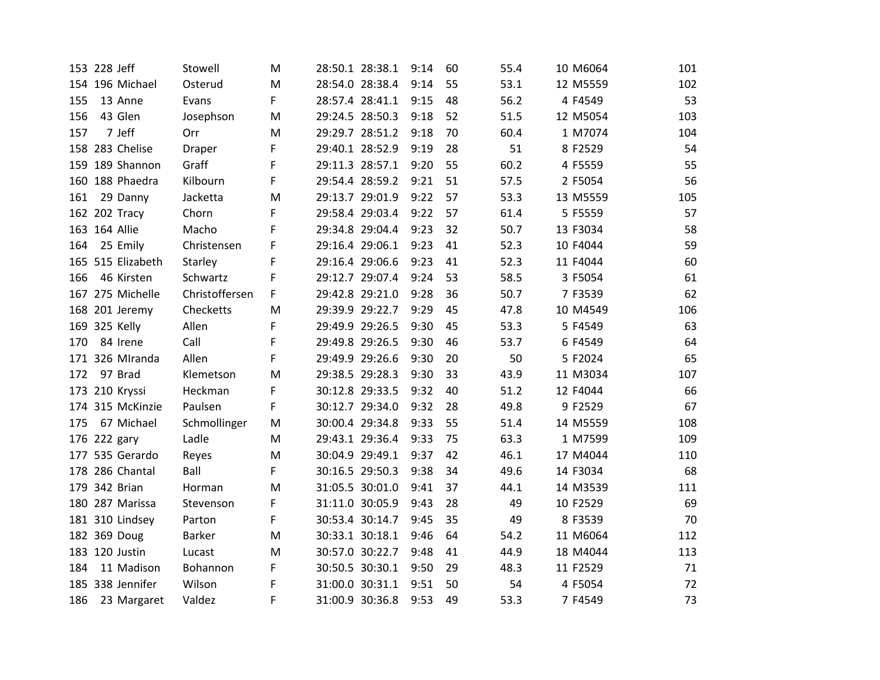| 153 228 Jeff       | Stowell        | M | 28:50.1 28:38.1 | 9:14 | 60 | 55.4 | 10 M6064 | 101 |
|--------------------|----------------|---|-----------------|------|----|------|----------|-----|
| 154 196 Michael    | Osterud        | M | 28:54.0 28:38.4 | 9:14 | 55 | 53.1 | 12 M5559 | 102 |
| 155<br>13 Anne     | Evans          | F | 28:57.4 28:41.1 | 9:15 | 48 | 56.2 | 4 F4549  | 53  |
| 156<br>43 Glen     | Josephson      | M | 29:24.5 28:50.3 | 9:18 | 52 | 51.5 | 12 M5054 | 103 |
| 7 Jeff<br>157      | Orr            | M | 29:29.7 28:51.2 | 9:18 | 70 | 60.4 | 1 M7074  | 104 |
| 158 283 Chelise    | <b>Draper</b>  | F | 29:40.1 28:52.9 | 9:19 | 28 | 51   | 8 F2529  | 54  |
| 159 189 Shannon    | Graff          | F | 29:11.3 28:57.1 | 9:20 | 55 | 60.2 | 4 F5559  | 55  |
| 160 188 Phaedra    | Kilbourn       | F | 29:54.4 28:59.2 | 9:21 | 51 | 57.5 | 2 F5054  | 56  |
| 161<br>29 Danny    | Jacketta       | M | 29:13.7 29:01.9 | 9:22 | 57 | 53.3 | 13 M5559 | 105 |
| 162 202 Tracy      | Chorn          | F | 29:58.4 29:03.4 | 9:22 | 57 | 61.4 | 5 F5559  | 57  |
| 163 164 Allie      | Macho          | F | 29:34.8 29:04.4 | 9:23 | 32 | 50.7 | 13 F3034 | 58  |
| 25 Emily<br>164    | Christensen    | F | 29:16.4 29:06.1 | 9:23 | 41 | 52.3 | 10 F4044 | 59  |
| 165 515 Elizabeth  | Starley        | F | 29:16.4 29:06.6 | 9:23 | 41 | 52.3 | 11 F4044 | 60  |
| 46 Kirsten<br>166  | Schwartz       | F | 29:12.7 29:07.4 | 9:24 | 53 | 58.5 | 3 F5054  | 61  |
| 167 275 Michelle   | Christoffersen | F | 29:42.8 29:21.0 | 9:28 | 36 | 50.7 | 7 F3539  | 62  |
| 168 201 Jeremy     | Checketts      | M | 29:39.9 29:22.7 | 9:29 | 45 | 47.8 | 10 M4549 | 106 |
| 169 325 Kelly      | Allen          | F | 29:49.9 29:26.5 | 9:30 | 45 | 53.3 | 5 F4549  | 63  |
| 170<br>84 Irene    | Call           | F | 29:49.8 29:26.5 | 9:30 | 46 | 53.7 | 6 F4549  | 64  |
| 171 326 MIranda    | Allen          | F | 29:49.9 29:26.6 | 9:30 | 20 | 50   | 5 F2024  | 65  |
| 97 Brad<br>172     | Klemetson      | M | 29:38.5 29:28.3 | 9:30 | 33 | 43.9 | 11 M3034 | 107 |
| 173 210 Kryssi     | Heckman        | F | 30:12.8 29:33.5 | 9:32 | 40 | 51.2 | 12 F4044 | 66  |
| 174 315 McKinzie   | Paulsen        | F | 30:12.7 29:34.0 | 9:32 | 28 | 49.8 | 9 F2529  | 67  |
| 67 Michael<br>175  | Schmollinger   | M | 30:00.4 29:34.8 | 9:33 | 55 | 51.4 | 14 M5559 | 108 |
| 176 222 gary       | Ladle          | M | 29:43.1 29:36.4 | 9:33 | 75 | 63.3 | 1 M7599  | 109 |
| 177 535 Gerardo    | Reyes          | M | 30:04.9 29:49.1 | 9:37 | 42 | 46.1 | 17 M4044 | 110 |
| 178 286 Chantal    | Ball           | F | 30:16.5 29:50.3 | 9:38 | 34 | 49.6 | 14 F3034 | 68  |
| 179 342 Brian      | Horman         | M | 31:05.5 30:01.0 | 9:41 | 37 | 44.1 | 14 M3539 | 111 |
| 180 287 Marissa    | Stevenson      | F | 31:11.0 30:05.9 | 9:43 | 28 | 49   | 10 F2529 | 69  |
| 181 310 Lindsey    | Parton         | F | 30:53.4 30:14.7 | 9:45 | 35 | 49   | 8 F3539  | 70  |
| 182 369 Doug       | <b>Barker</b>  | M | 30:33.1 30:18.1 | 9:46 | 64 | 54.2 | 11 M6064 | 112 |
| 183 120 Justin     | Lucast         | M | 30:57.0 30:22.7 | 9:48 | 41 | 44.9 | 18 M4044 | 113 |
| 184<br>11 Madison  | Bohannon       | F | 30:50.5 30:30.1 | 9:50 | 29 | 48.3 | 11 F2529 | 71  |
| 185 338 Jennifer   | Wilson         | F | 31:00.0 30:31.1 | 9:51 | 50 | 54   | 4 F5054  | 72  |
| 186<br>23 Margaret | Valdez         | F | 31:00.9 30:36.8 | 9:53 | 49 | 53.3 | 7 F4549  | 73  |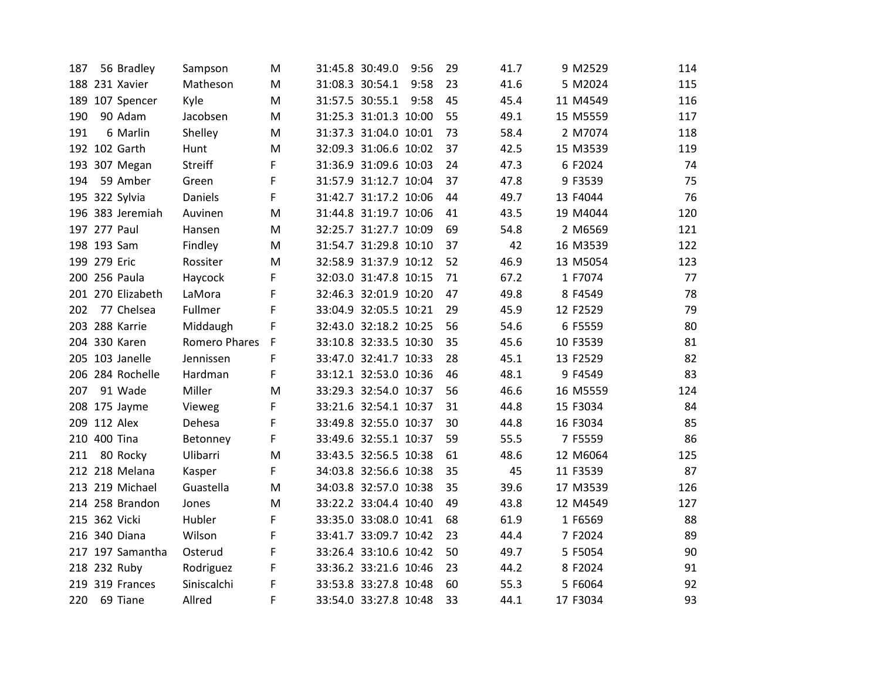| 56 Bradley<br>187 | Sampson        | м | 31:45.8 30:49.0       | 9:56 | 29 | 41.7 | 9 M2529  | 114 |
|-------------------|----------------|---|-----------------------|------|----|------|----------|-----|
| 188 231 Xavier    | Matheson       | M | 31:08.3 30:54.1       | 9:58 | 23 | 41.6 | 5 M2024  | 115 |
| 189 107 Spencer   | Kyle           | M | 31:57.5 30:55.1       | 9:58 | 45 | 45.4 | 11 M4549 | 116 |
| 190<br>90 Adam    | Jacobsen       | M | 31:25.3 31:01.3 10:00 |      | 55 | 49.1 | 15 M5559 | 117 |
| 191<br>6 Marlin   | Shelley        | M | 31:37.3 31:04.0 10:01 |      | 73 | 58.4 | 2 M7074  | 118 |
| 192 102 Garth     | Hunt           | M | 32:09.3 31:06.6 10:02 |      | 37 | 42.5 | 15 M3539 | 119 |
| 193 307 Megan     | <b>Streiff</b> | F | 31:36.9 31:09.6 10:03 |      | 24 | 47.3 | 6 F2024  | 74  |
| 59 Amber<br>194   | Green          | F | 31:57.9 31:12.7 10:04 |      | 37 | 47.8 | 9 F3539  | 75  |
| 195 322 Sylvia    | Daniels        | F | 31:42.7 31:17.2 10:06 |      | 44 | 49.7 | 13 F4044 | 76  |
| 196 383 Jeremiah  | Auvinen        | M | 31:44.8 31:19.7 10:06 |      | 41 | 43.5 | 19 M4044 | 120 |
| 197 277 Paul      | Hansen         | M | 32:25.7 31:27.7 10:09 |      | 69 | 54.8 | 2 M6569  | 121 |
| 198 193 Sam       | Findley        | M | 31:54.7 31:29.8 10:10 |      | 37 | 42   | 16 M3539 | 122 |
| 199 279 Eric      | Rossiter       | M | 32:58.9 31:37.9 10:12 |      | 52 | 46.9 | 13 M5054 | 123 |
| 200 256 Paula     | Haycock        | F | 32:03.0 31:47.8 10:15 |      | 71 | 67.2 | 1 F7074  | 77  |
| 201 270 Elizabeth | LaMora         | F | 32:46.3 32:01.9 10:20 |      | 47 | 49.8 | 8 F4549  | 78  |
| 202<br>77 Chelsea | Fullmer        | F | 33:04.9 32:05.5 10:21 |      | 29 | 45.9 | 12 F2529 | 79  |
| 203 288 Karrie    | Middaugh       | F | 32:43.0 32:18.2 10:25 |      | 56 | 54.6 | 6 F5559  | 80  |
| 204 330 Karen     | Romero Phares  | F | 33:10.8 32:33.5 10:30 |      | 35 | 45.6 | 10 F3539 | 81  |
| 205 103 Janelle   | Jennissen      | F | 33:47.0 32:41.7 10:33 |      | 28 | 45.1 | 13 F2529 | 82  |
| 206 284 Rochelle  | Hardman        | F | 33:12.1 32:53.0 10:36 |      | 46 | 48.1 | 9 F4549  | 83  |
| 207<br>91 Wade    | Miller         | M | 33:29.3 32:54.0 10:37 |      | 56 | 46.6 | 16 M5559 | 124 |
| 208 175 Jayme     | Vieweg         | F | 33:21.6 32:54.1 10:37 |      | 31 | 44.8 | 15 F3034 | 84  |
| 209 112 Alex      | Dehesa         | F | 33:49.8 32:55.0 10:37 |      | 30 | 44.8 | 16 F3034 | 85  |
| 210 400 Tina      | Betonney       | F | 33:49.6 32:55.1 10:37 |      | 59 | 55.5 | 7 F5559  | 86  |
| 211<br>80 Rocky   | Ulibarri       | M | 33:43.5 32:56.5 10:38 |      | 61 | 48.6 | 12 M6064 | 125 |
| 212 218 Melana    | Kasper         | F | 34:03.8 32:56.6 10:38 |      | 35 | 45   | 11 F3539 | 87  |
| 213 219 Michael   | Guastella      | M | 34:03.8 32:57.0 10:38 |      | 35 | 39.6 | 17 M3539 | 126 |
| 214 258 Brandon   | Jones          | M | 33:22.2 33:04.4 10:40 |      | 49 | 43.8 | 12 M4549 | 127 |
| 215 362 Vicki     | Hubler         | F | 33:35.0 33:08.0 10:41 |      | 68 | 61.9 | 1 F6569  | 88  |
| 216 340 Diana     | Wilson         | F | 33:41.7 33:09.7 10:42 |      | 23 | 44.4 | 7 F2024  | 89  |
| 217 197 Samantha  | Osterud        | F | 33:26.4 33:10.6 10:42 |      | 50 | 49.7 | 5 F5054  | 90  |
| 218 232 Ruby      | Rodriguez      | F | 33:36.2 33:21.6 10:46 |      | 23 | 44.2 | 8 F2024  | 91  |
| 219 319 Frances   | Siniscalchi    | F | 33:53.8 33:27.8 10:48 |      | 60 | 55.3 | 5 F6064  | 92  |
| 220<br>69 Tiane   | Allred         | F | 33:54.0 33:27.8 10:48 |      | 33 | 44.1 | 17 F3034 | 93  |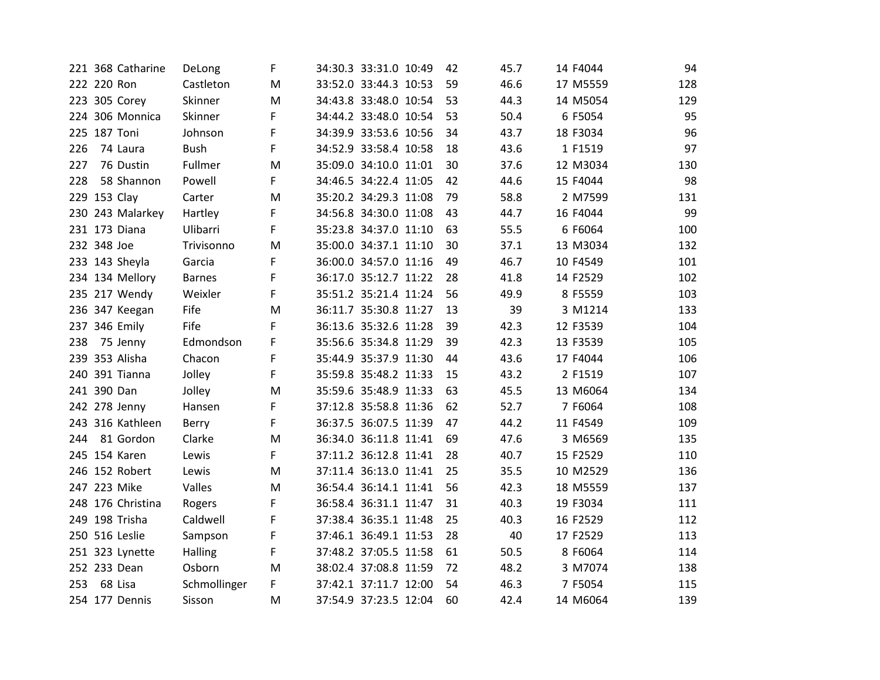| 221 368 Catharine | DeLong        | F | 34:30.3 33:31.0 10:49 | 42 | 45.7 | 14 F4044 | 94  |
|-------------------|---------------|---|-----------------------|----|------|----------|-----|
| 222 220 Ron       | Castleton     | М | 33:52.0 33:44.3 10:53 | 59 | 46.6 | 17 M5559 | 128 |
| 223 305 Corey     | Skinner       | M | 34:43.8 33:48.0 10:54 | 53 | 44.3 | 14 M5054 | 129 |
| 224 306 Monnica   | Skinner       | F | 34:44.2 33:48.0 10:54 | 53 | 50.4 | 6 F5054  | 95  |
| 225 187 Toni      | Johnson       | F | 34:39.9 33:53.6 10:56 | 34 | 43.7 | 18 F3034 | 96  |
| 226<br>74 Laura   | <b>Bush</b>   | F | 34:52.9 33:58.4 10:58 | 18 | 43.6 | 1 F1519  | 97  |
| 76 Dustin<br>227  | Fullmer       | M | 35:09.0 34:10.0 11:01 | 30 | 37.6 | 12 M3034 | 130 |
| 58 Shannon<br>228 | Powell        | F | 34:46.5 34:22.4 11:05 | 42 | 44.6 | 15 F4044 | 98  |
| 229 153 Clay      | Carter        | M | 35:20.2 34:29.3 11:08 | 79 | 58.8 | 2 M7599  | 131 |
| 230 243 Malarkey  | Hartley       | F | 34:56.8 34:30.0 11:08 | 43 | 44.7 | 16 F4044 | 99  |
| 231 173 Diana     | Ulibarri      | F | 35:23.8 34:37.0 11:10 | 63 | 55.5 | 6 F6064  | 100 |
| 232 348 Joe       | Trivisonno    | M | 35:00.0 34:37.1 11:10 | 30 | 37.1 | 13 M3034 | 132 |
| 233 143 Sheyla    | Garcia        | F | 36:00.0 34:57.0 11:16 | 49 | 46.7 | 10 F4549 | 101 |
| 234 134 Mellory   | <b>Barnes</b> | F | 36:17.0 35:12.7 11:22 | 28 | 41.8 | 14 F2529 | 102 |
| 235 217 Wendy     | Weixler       | F | 35:51.2 35:21.4 11:24 | 56 | 49.9 | 8 F5559  | 103 |
| 236 347 Keegan    | Fife          | M | 36:11.7 35:30.8 11:27 | 13 | 39   | 3 M1214  | 133 |
| 237 346 Emily     | Fife          | F | 36:13.6 35:32.6 11:28 | 39 | 42.3 | 12 F3539 | 104 |
| 238<br>75 Jenny   | Edmondson     | F | 35:56.6 35:34.8 11:29 | 39 | 42.3 | 13 F3539 | 105 |
| 239 353 Alisha    | Chacon        | F | 35:44.9 35:37.9 11:30 | 44 | 43.6 | 17 F4044 | 106 |
| 240 391 Tianna    | Jolley        | F | 35:59.8 35:48.2 11:33 | 15 | 43.2 | 2 F1519  | 107 |
| 241 390 Dan       | Jolley        | M | 35:59.6 35:48.9 11:33 | 63 | 45.5 | 13 M6064 | 134 |
| 242 278 Jenny     | Hansen        | F | 37:12.8 35:58.8 11:36 | 62 | 52.7 | 7 F6064  | 108 |
| 243 316 Kathleen  | Berry         | F | 36:37.5 36:07.5 11:39 | 47 | 44.2 | 11 F4549 | 109 |
| 81 Gordon<br>244  | Clarke        | M | 36:34.0 36:11.8 11:41 | 69 | 47.6 | 3 M6569  | 135 |
| 245 154 Karen     | Lewis         | F | 37:11.2 36:12.8 11:41 | 28 | 40.7 | 15 F2529 | 110 |
| 246 152 Robert    | Lewis         | M | 37:11.4 36:13.0 11:41 | 25 | 35.5 | 10 M2529 | 136 |
| 247 223 Mike      | Valles        | M | 36:54.4 36:14.1 11:41 | 56 | 42.3 | 18 M5559 | 137 |
| 248 176 Christina | Rogers        | F | 36:58.4 36:31.1 11:47 | 31 | 40.3 | 19 F3034 | 111 |
| 249 198 Trisha    | Caldwell      | F | 37:38.4 36:35.1 11:48 | 25 | 40.3 | 16 F2529 | 112 |
| 250 516 Leslie    | Sampson       | F | 37:46.1 36:49.1 11:53 | 28 | 40   | 17 F2529 | 113 |
| 251 323 Lynette   | Halling       | F | 37:48.2 37:05.5 11:58 | 61 | 50.5 | 8 F6064  | 114 |
| 252 233 Dean      | Osborn        | M | 38:02.4 37:08.8 11:59 | 72 | 48.2 | 3 M7074  | 138 |
| 68 Lisa<br>253    | Schmollinger  | F | 37:42.1 37:11.7 12:00 | 54 | 46.3 | 7 F5054  | 115 |
| 254 177 Dennis    | Sisson        | м | 37:54.9 37:23.5 12:04 | 60 | 42.4 | 14 M6064 | 139 |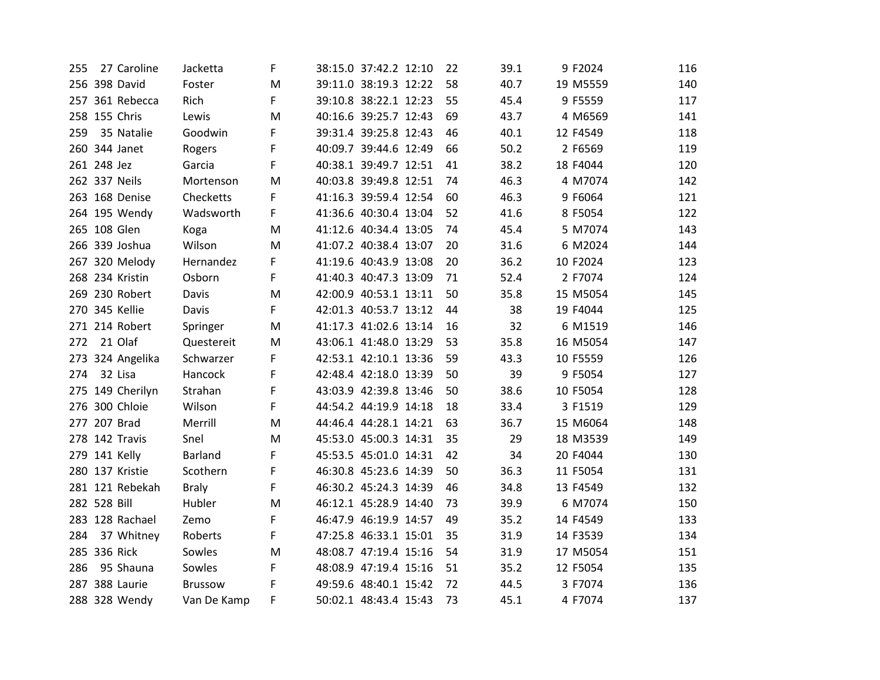| 255 | 27 Caroline      | Jacketta       | F           | 38:15.0 37:42.2 12:10 | 22 | 39.1 | 9 F2024  | 116 |
|-----|------------------|----------------|-------------|-----------------------|----|------|----------|-----|
|     | 256 398 David    | Foster         | M           | 39:11.0 38:19.3 12:22 | 58 | 40.7 | 19 M5559 | 140 |
|     | 257 361 Rebecca  | Rich           | F           | 39:10.8 38:22.1 12:23 | 55 | 45.4 | 9 F5559  | 117 |
|     | 258 155 Chris    | Lewis          | M           | 40:16.6 39:25.7 12:43 | 69 | 43.7 | 4 M6569  | 141 |
| 259 | 35 Natalie       | Goodwin        | F           | 39:31.4 39:25.8 12:43 | 46 | 40.1 | 12 F4549 | 118 |
|     | 260 344 Janet    | Rogers         | F           | 40:09.7 39:44.6 12:49 | 66 | 50.2 | 2 F6569  | 119 |
|     | 261 248 Jez      | Garcia         | F           | 40:38.1 39:49.7 12:51 | 41 | 38.2 | 18 F4044 | 120 |
|     | 262 337 Neils    | Mortenson      | M           | 40:03.8 39:49.8 12:51 | 74 | 46.3 | 4 M7074  | 142 |
|     | 263 168 Denise   | Checketts      | F           | 41:16.3 39:59.4 12:54 | 60 | 46.3 | 9 F6064  | 121 |
|     | 264 195 Wendy    | Wadsworth      | $\mathsf F$ | 41:36.6 40:30.4 13:04 | 52 | 41.6 | 8 F5054  | 122 |
|     | 265 108 Glen     | Koga           | M           | 41:12.6 40:34.4 13:05 | 74 | 45.4 | 5 M7074  | 143 |
|     | 266 339 Joshua   | Wilson         | M           | 41:07.2 40:38.4 13:07 | 20 | 31.6 | 6 M2024  | 144 |
|     | 267 320 Melody   | Hernandez      | F.          | 41:19.6 40:43.9 13:08 | 20 | 36.2 | 10 F2024 | 123 |
|     | 268 234 Kristin  | Osborn         | F           | 41:40.3 40:47.3 13:09 | 71 | 52.4 | 2 F7074  | 124 |
|     | 269 230 Robert   | Davis          | M           | 42:00.9 40:53.1 13:11 | 50 | 35.8 | 15 M5054 | 145 |
|     | 270 345 Kellie   | Davis          | F           | 42:01.3 40:53.7 13:12 | 44 | 38   | 19 F4044 | 125 |
|     | 271 214 Robert   | Springer       | M           | 41:17.3 41:02.6 13:14 | 16 | 32   | 6 M1519  | 146 |
| 272 | 21 Olaf          | Questereit     | M           | 43:06.1 41:48.0 13:29 | 53 | 35.8 | 16 M5054 | 147 |
|     | 273 324 Angelika | Schwarzer      | F           | 42:53.1 42:10.1 13:36 | 59 | 43.3 | 10 F5559 | 126 |
| 274 | 32 Lisa          | Hancock        | F           | 42:48.4 42:18.0 13:39 | 50 | 39   | 9 F5054  | 127 |
|     | 275 149 Cherilyn | Strahan        | F           | 43:03.9 42:39.8 13:46 | 50 | 38.6 | 10 F5054 | 128 |
|     | 276 300 Chloie   | Wilson         | F           | 44:54.2 44:19.9 14:18 | 18 | 33.4 | 3 F1519  | 129 |
|     | 277 207 Brad     | Merrill        | M           | 44:46.4 44:28.1 14:21 | 63 | 36.7 | 15 M6064 | 148 |
|     | 278 142 Travis   | Snel           | M           | 45:53.0 45:00.3 14:31 | 35 | 29   | 18 M3539 | 149 |
|     | 279 141 Kelly    | <b>Barland</b> | F           | 45:53.5 45:01.0 14:31 | 42 | 34   | 20 F4044 | 130 |
|     | 280 137 Kristie  | Scothern       | F           | 46:30.8 45:23.6 14:39 | 50 | 36.3 | 11 F5054 | 131 |
|     | 281 121 Rebekah  | <b>Braly</b>   | F           | 46:30.2 45:24.3 14:39 | 46 | 34.8 | 13 F4549 | 132 |
|     | 282 528 Bill     | Hubler         | M           | 46:12.1 45:28.9 14:40 | 73 | 39.9 | 6 M7074  | 150 |
|     | 283 128 Rachael  | Zemo           | F           | 46:47.9 46:19.9 14:57 | 49 | 35.2 | 14 F4549 | 133 |
| 284 | 37 Whitney       | Roberts        | F           | 47:25.8 46:33.1 15:01 | 35 | 31.9 | 14 F3539 | 134 |
|     | 285 336 Rick     | Sowles         | M           | 48:08.7 47:19.4 15:16 | 54 | 31.9 | 17 M5054 | 151 |
| 286 | 95 Shauna        | Sowles         | F           | 48:08.9 47:19.4 15:16 | 51 | 35.2 | 12 F5054 | 135 |
|     | 287 388 Laurie   | <b>Brussow</b> | F           | 49:59.6 48:40.1 15:42 | 72 | 44.5 | 3 F7074  | 136 |
|     | 288 328 Wendy    | Van De Kamp    | F           | 50:02.1 48:43.4 15:43 | 73 | 45.1 | 4 F7074  | 137 |